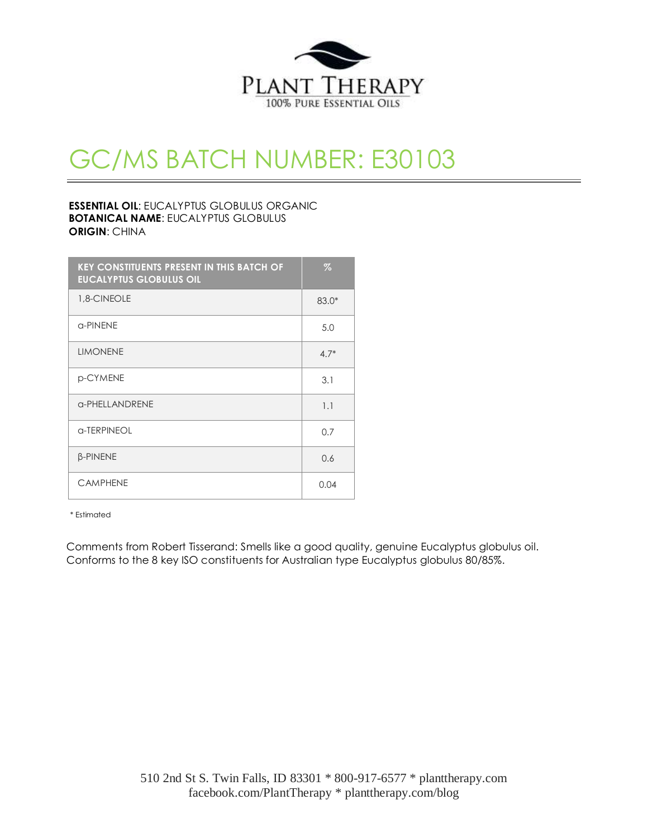

# GC/MS BATCH NUMBER: E30103

## **ESSENTIAL OIL**: EUCALYPTUS GLOBULUS ORGANIC **BOTANICAL NAME**: EUCALYPTUS GLOBULUS **ORIGIN**: CHINA

| <b>KEY CONSTITUENTS PRESENT IN THIS BATCH OF</b><br><b>EUCALYPTUS GLOBULUS OIL</b> | Z       |
|------------------------------------------------------------------------------------|---------|
| 1,8-CINEOLE                                                                        | $83.0*$ |
| a-PINENE                                                                           | 5.0     |
| <b>LIMONENE</b>                                                                    | $4.7*$  |
| p-CYMENE                                                                           | 3.1     |
| <b>G-PHELLANDRENE</b>                                                              | 1.1     |
| a-TERPINEOL                                                                        | 0.7     |
| <b>B-PINENE</b>                                                                    | 0.6     |
| <b>CAMPHENE</b>                                                                    | 0.04    |

\* Estimated

Comments from Robert Tisserand: Smells like a good quality, genuine Eucalyptus globulus oil. Conforms to the 8 key ISO constituents for Australian type Eucalyptus globulus 80/85%.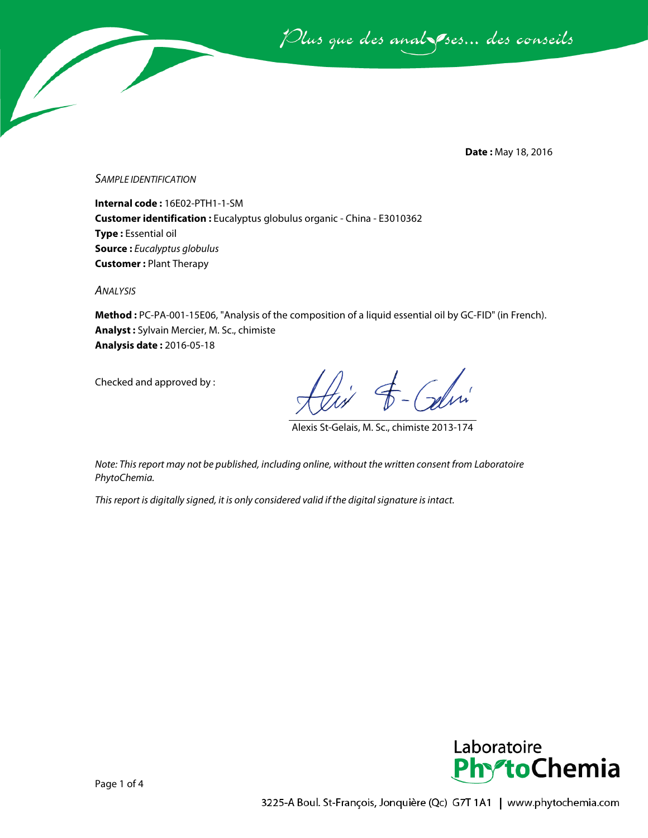Plus que des analsses... des conseils

**Date :** May 18, 2016

*SAMPLE IDENTIFICATION*

**Internal code :** 16E02-PTH1-1-SM **Customer identification :** Eucalyptus globulus organic - China - E3010362 **Type :** Essential oil **Source :** *Eucalyptus globulus* **Customer :** Plant Therapy

*ANALYSIS*

**Method :** PC-PA-001-15E06, "Analysis of the composition of a liquid essential oil by GC-FID" (in French). **Analyst :** Sylvain Mercier, M. Sc., chimiste **Analysis date :** 2016-05-18

Checked and approved by :

Alexis St-Gelais, M. Sc., chimiste 2013-174

*Note: This report may not be published, including online, without the written consent from Laboratoire PhytoChemia.*

*This report is digitally signed, it is only considered valid if the digital signature is intact.*

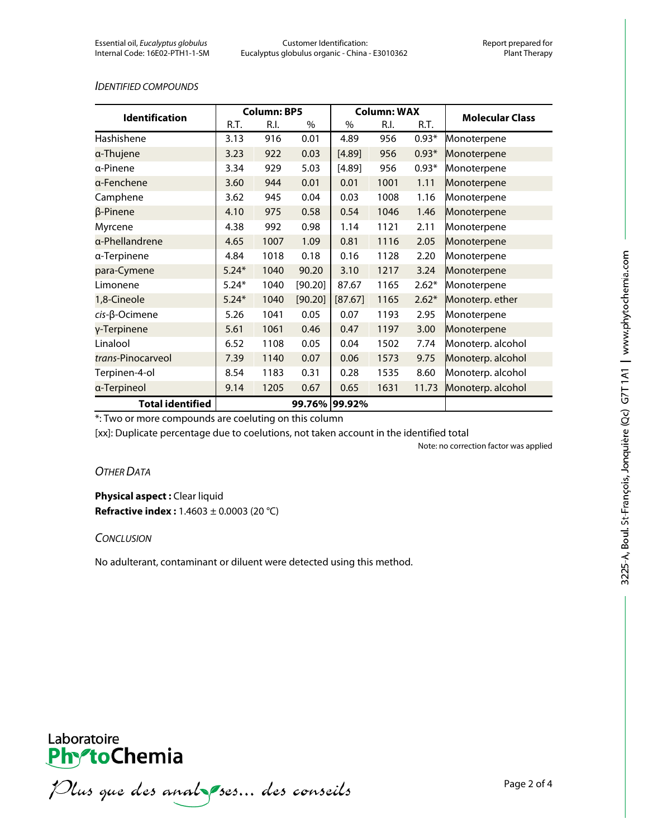#### *IDENTIFIED COMPOUNDS*

| <b>Identification</b>    | <b>Column: BP5</b> |      |         | <b>Column: WAX</b> |      |         |                        |
|--------------------------|--------------------|------|---------|--------------------|------|---------|------------------------|
|                          | R.T.               | R.I. | $\%$    | $\%$               | R.I. | R.T.    | <b>Molecular Class</b> |
| Hashishene               | 3.13               | 916  | 0.01    | 4.89               | 956  | $0.93*$ | Monoterpene            |
| a-Thujene                | 3.23               | 922  | 0.03    | [4.89]             | 956  | $0.93*$ | Monoterpene            |
| a-Pinene                 | 3.34               | 929  | 5.03    | [4.89]             | 956  | $0.93*$ | Monoterpene            |
| α-Fenchene               | 3.60               | 944  | 0.01    | 0.01               | 1001 | 1.11    | Monoterpene            |
| Camphene                 | 3.62               | 945  | 0.04    | 0.03               | 1008 | 1.16    | Monoterpene            |
| β-Pinene                 | 4.10               | 975  | 0.58    | 0.54               | 1046 | 1.46    | Monoterpene            |
| Myrcene                  | 4.38               | 992  | 0.98    | 1.14               | 1121 | 2.11    | Monoterpene            |
| a-Phellandrene           | 4.65               | 1007 | 1.09    | 0.81               | 1116 | 2.05    | Monoterpene            |
| a-Terpinene              | 4.84               | 1018 | 0.18    | 0.16               | 1128 | 2.20    | Monoterpene            |
| para-Cymene              | $5.24*$            | 1040 | 90.20   | 3.10               | 1217 | 3.24    | Monoterpene            |
| Limonene                 | $5.24*$            | 1040 | [90.20] | 87.67              | 1165 | $2.62*$ | Monoterpene            |
| 1,8-Cineole              | $5.24*$            | 1040 | [90.20] | [87.67]            | 1165 | $2.62*$ | Monoterp. ether        |
| $cis$ - $\beta$ -Ocimene | 5.26               | 1041 | 0.05    | 0.07               | 1193 | 2.95    | Monoterpene            |
| γ-Terpinene              | 5.61               | 1061 | 0.46    | 0.47               | 1197 | 3.00    | Monoterpene            |
| Linalool                 | 6.52               | 1108 | 0.05    | 0.04               | 1502 | 7.74    | Monoterp. alcohol      |
| trans-Pinocarveol        | 7.39               | 1140 | 0.07    | 0.06               | 1573 | 9.75    | Monoterp. alcohol      |
| Terpinen-4-ol            | 8.54               | 1183 | 0.31    | 0.28               | 1535 | 8.60    | Monoterp. alcohol      |
| a-Terpineol              | 9.14               | 1205 | 0.67    | 0.65               | 1631 | 11.73   | Monoterp. alcohol      |
| <b>Total identified</b>  |                    |      |         | 99.76% 99.92%      |      |         |                        |

\*: Two or more compounds are coeluting on this column

[xx]: Duplicate percentage due to coelutions, not taken account in the identified total

Note: no correction factor was applied

# *OTHER DATA*

**Physical aspect : Clear liquid Refractive index :** 1.4603 ± 0.0003 (20 °C)

## *CONCLUSION*

No adulterant, contaminant or diluent were detected using this method.



Plus que des analzes... des conseils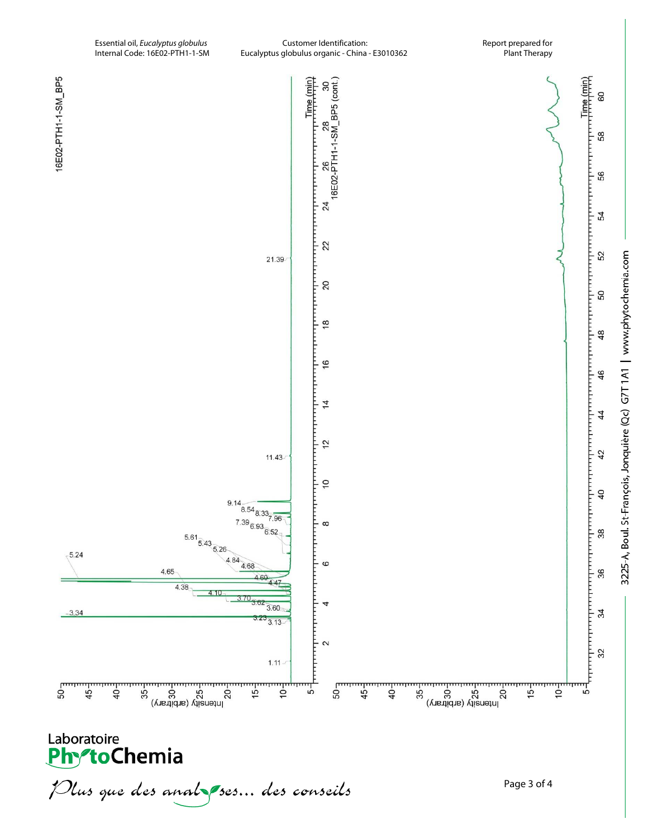

Plus que des analzes... des conseils

3225-A, Boul. St-François, Jonquière (Qc) G7T1A1 | www.phytochemia.com